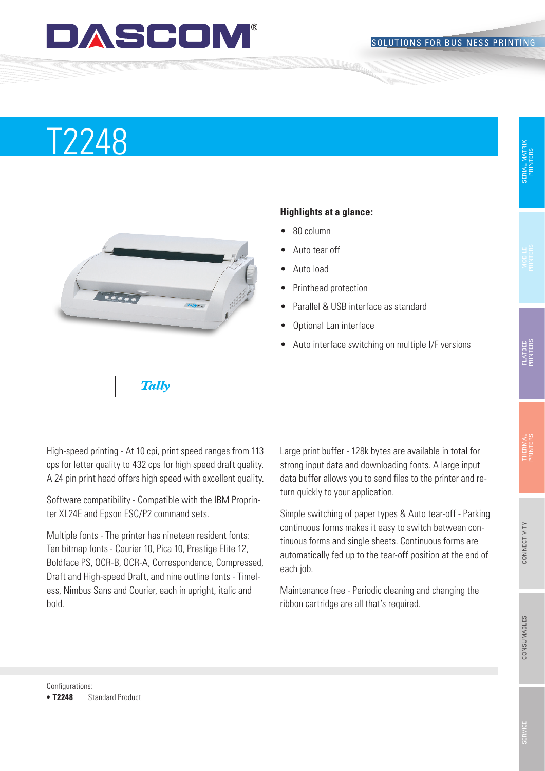## DASCOM

#### **SOLUTIONS FOR BUSINESS PRINTING**

# T2248



#### **Highlights at a glance:**

- 80 column
- Auto tear off
- Auto load
- Printhead protection
- Parallel & USB interface as standard
- Optional Lan interface
- Auto interface switching on multiple I/F versions

High-speed printing - At 10 cpi, print speed ranges from 113 cps for letter quality to 432 cps for high speed draft quality. A 24 pin print head offers high speed with excellent quality.

**Tally** 

Software compatibility - Compatible with the IBM Proprinter XL24E and Epson ESC/P2 command sets.

Multiple fonts - The printer has nineteen resident fonts: Ten bitmap fonts - Courier 10, Pica 10, Prestige Elite 12, Boldface PS, OCR-B, OCR-A, Correspondence, Compressed, Draft and High-speed Draft, and nine outline fonts - Timeless, Nimbus Sans and Courier, each in upright, italic and bold.

Large print buffer - 128k bytes are available in total for strong input data and downloading fonts. A large input data buffer allows you to send files to the printer and return quickly to your application.

Simple switching of paper types & Auto tear-off - Parking continuous forms makes it easy to switch between continuous forms and single sheets. Continuous forms are automatically fed up to the tear-off position at the end of each job.

Maintenance free - Periodic cleaning and changing the ribbon cartridge are all that's required.